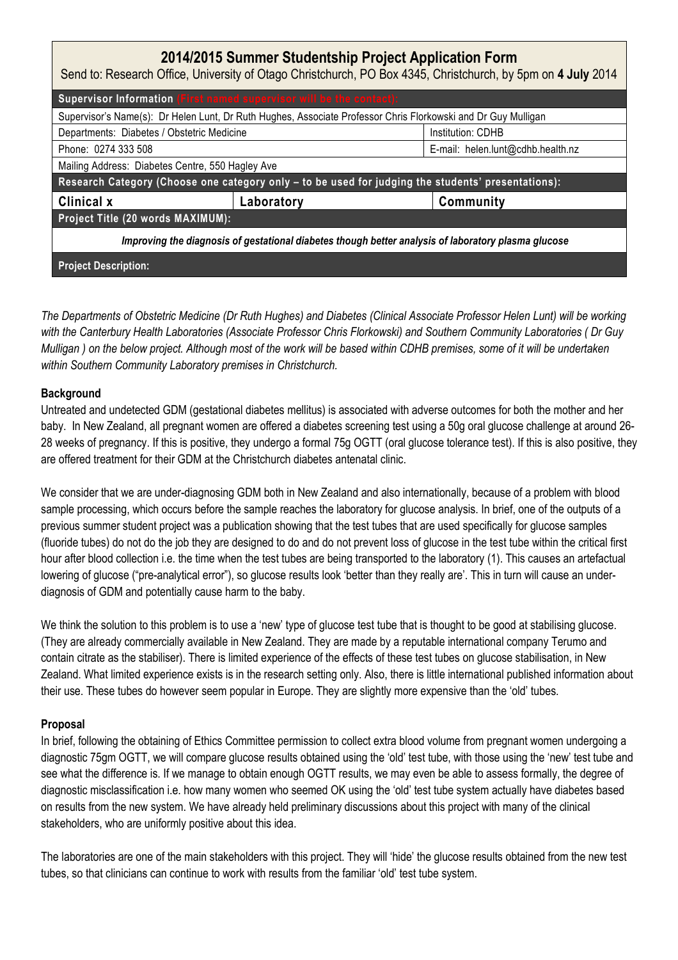| 2014/2015 Summer Studentship Project Application Form<br>Send to: Research Office, University of Otago Christchurch, PO Box 4345, Christchurch, by 5pm on 4 July 2014 |            |                                   |
|-----------------------------------------------------------------------------------------------------------------------------------------------------------------------|------------|-----------------------------------|
| Supervisor Information (First named supervisor will be the contact):                                                                                                  |            |                                   |
| Supervisor's Name(s): Dr Helen Lunt, Dr Ruth Hughes, Associate Professor Chris Florkowski and Dr Guy Mulligan                                                         |            |                                   |
| Departments: Diabetes / Obstetric Medicine                                                                                                                            |            | Institution: CDHB                 |
| Phone: 0274 333 508                                                                                                                                                   |            | E-mail: helen.lunt@cdhb.health.nz |
| Mailing Address: Diabetes Centre, 550 Hagley Ave                                                                                                                      |            |                                   |
| Research Category (Choose one category only - to be used for judging the students' presentations):                                                                    |            |                                   |
| Clinical x                                                                                                                                                            | Laboratory | Community                         |
| Project Title (20 words MAXIMUM):                                                                                                                                     |            |                                   |
| Improving the diagnosis of gestational diabetes though better analysis of laboratory plasma glucose                                                                   |            |                                   |
| <b>Project Description:</b>                                                                                                                                           |            |                                   |

The Departments of Obstetric Medicine (Dr Ruth Hughes) and Diabetes (Clinical Associate Professor Helen Lunt) will be working with the Canterbury Health Laboratories (Associate Professor Chris Florkowski) and Southern Community Laboratories ( Dr Guy Mulligan ) on the below project. Although most of the work will be based within CDHB premises, some of it will be undertaken within Southern Community Laboratory premises in Christchurch.

## **Background**

Untreated and undetected GDM (gestational diabetes mellitus) is associated with adverse outcomes for both the mother and her baby. In New Zealand, all pregnant women are offered a diabetes screening test using a 50g oral glucose challenge at around 26- 28 weeks of pregnancy. If this is positive, they undergo a formal 75g OGTT (oral glucose tolerance test). If this is also positive, they are offered treatment for their GDM at the Christchurch diabetes antenatal clinic.

We consider that we are under-diagnosing GDM both in New Zealand and also internationally, because of a problem with blood sample processing, which occurs before the sample reaches the laboratory for glucose analysis. In brief, one of the outputs of a previous summer student project was a publication showing that the test tubes that are used specifically for glucose samples (fluoride tubes) do not do the job they are designed to do and do not prevent loss of glucose in the test tube within the critical first hour after blood collection i.e. the time when the test tubes are being transported to the laboratory (1). This causes an artefactual lowering of glucose ("pre-analytical error"), so glucose results look 'better than they really are'. This in turn will cause an underdiagnosis of GDM and potentially cause harm to the baby.

We think the solution to this problem is to use a 'new' type of glucose test tube that is thought to be good at stabilising glucose. (They are already commercially available in New Zealand. They are made by a reputable international company Terumo and contain citrate as the stabiliser). There is limited experience of the effects of these test tubes on glucose stabilisation, in New Zealand. What limited experience exists is in the research setting only. Also, there is little international published information about their use. These tubes do however seem popular in Europe. They are slightly more expensive than the 'old' tubes.

## Proposal

In brief, following the obtaining of Ethics Committee permission to collect extra blood volume from pregnant women undergoing a diagnostic 75gm OGTT, we will compare glucose results obtained using the 'old' test tube, with those using the 'new' test tube and see what the difference is. If we manage to obtain enough OGTT results, we may even be able to assess formally, the degree of diagnostic misclassification i.e. how many women who seemed OK using the 'old' test tube system actually have diabetes based on results from the new system. We have already held preliminary discussions about this project with many of the clinical stakeholders, who are uniformly positive about this idea.

The laboratories are one of the main stakeholders with this project. They will 'hide' the glucose results obtained from the new test tubes, so that clinicians can continue to work with results from the familiar 'old' test tube system.